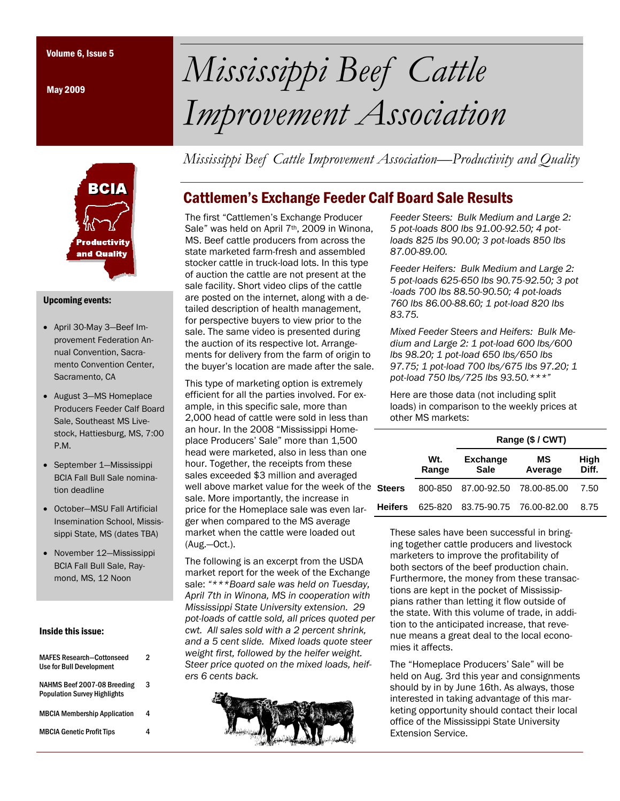May 2009



#### Upcoming events:

- April 30-May 3—Beef Improvement Federation Annual Convention, Sacramento Convention Center, Sacramento, CA
- August 3—MS Homeplace Producers Feeder Calf Board Sale, Southeast MS Livestock, Hattiesburg, MS, 7:00 P.M.
- September 1—Mississippi BCIA Fall Bull Sale nomination deadline
- October—MSU Fall Artificial Insemination School, Mississippi State, MS (dates TBA)
- November 12—Mississippi BCIA Fall Bull Sale, Raymond, MS, 12 Noon

#### Inside this issue:

| <b>MAFES Research-Cottonseed</b><br><b>Use for Bull Development</b> | 2 |
|---------------------------------------------------------------------|---|
| NAHMS Beef 2007-08 Breeding<br><b>Population Survey Highlights</b>  | 3 |
| <b>MBCIA Membership Application</b>                                 | 4 |
| <b>MBCIA Genetic Profit Tips</b>                                    |   |

# Volume 6, Issue 5 *Mississippi Beef Cattle Improvement Association*

*Mississippi Beef Cattle Improvement Association—Productivity and Quality* 

## Cattlemen's Exchange Feeder Calf Board Sale Results

The first "Cattlemen's Exchange Producer Sale" was held on April 7<sup>th</sup>, 2009 in Winona, MS. Beef cattle producers from across the state marketed farm-fresh and assembled stocker cattle in truck-load lots. In this type of auction the cattle are not present at the sale facility. Short video clips of the cattle are posted on the internet, along with a detailed description of health management, for perspective buyers to view prior to the sale. The same video is presented during the auction of its respective lot. Arrangements for delivery from the farm of origin to the buyer's location are made after the sale.

This type of marketing option is extremely efficient for all the parties involved. For example, in this specific sale, more than 2,000 head of cattle were sold in less than an hour. In the 2008 "Mississippi Homeplace Producers' Sale" more than 1,500 head were marketed, also in less than one hour. Together, the receipts from these sales exceeded \$3 million and averaged well above market value for the week of the sale. More importantly, the increase in price for the Homeplace sale was even larger when compared to the MS average market when the cattle were loaded out (Aug.—Oct.).

The following is an excerpt from the USDA market report for the week of the Exchange sale: *"\*\*\*Board sale was held on Tuesday, April 7th in Winona, MS in cooperation with Mississippi State University extension. 29 pot-loads of cattle sold, all prices quoted per cwt. All sales sold with a 2 percent shrink, and a 5 cent slide. Mixed loads quote steer weight first, followed by the heifer weight. Steer price quoted on the mixed loads, heifers 6 cents back.* 



*Feeder Steers: Bulk Medium and Large 2: 5 pot-loads 800 lbs 91.00-92.50; 4 potloads 825 lbs 90.00; 3 pot-loads 850 lbs 87.00-89.00.* 

*Feeder Heifers: Bulk Medium and Large 2: 5 pot-loads 625-650 lbs 90.75-92.50; 3 pot -loads 700 lbs 88.50-90.50; 4 pot-loads 760 lbs 86.00-88.60; 1 pot-load 820 lbs 83.75.* 

*Mixed Feeder Steers and Heifers: Bulk Medium and Large 2: 1 pot-load 600 lbs/600 lbs 98.20; 1 pot-load 650 lbs/650 lbs 97.75; 1 pot-load 700 lbs/675 lbs 97.20; 1 pot-load 750 lbs/725 lbs 93.50.\*\*\*"*

Here are those data (not including split loads) in comparison to the weekly prices at other MS markets:

|                |              | Range (\$ / CWT)               |               |               |
|----------------|--------------|--------------------------------|---------------|---------------|
|                | Wt.<br>Range | <b>Exchange</b><br><b>Sale</b> | МS<br>Average | High<br>Diff. |
| <b>Steers</b>  | 800-850      | 87.00-92.50 78.00-85.00        |               | 7.50          |
| <b>Heifers</b> | 625-820      | 83.75-90.75 76.00-82.00        |               | 8.75          |

These sales have been successful in bringing together cattle producers and livestock marketers to improve the profitability of both sectors of the beef production chain. Furthermore, the money from these transactions are kept in the pocket of Mississippians rather than letting it flow outside of the state. With this volume of trade, in addition to the anticipated increase, that revenue means a great deal to the local economies it affects.

The "Homeplace Producers' Sale" will be held on Aug. 3rd this year and consignments should by in by June 16th. As always, those interested in taking advantage of this marketing opportunity should contact their local office of the Mississippi State University Extension Service.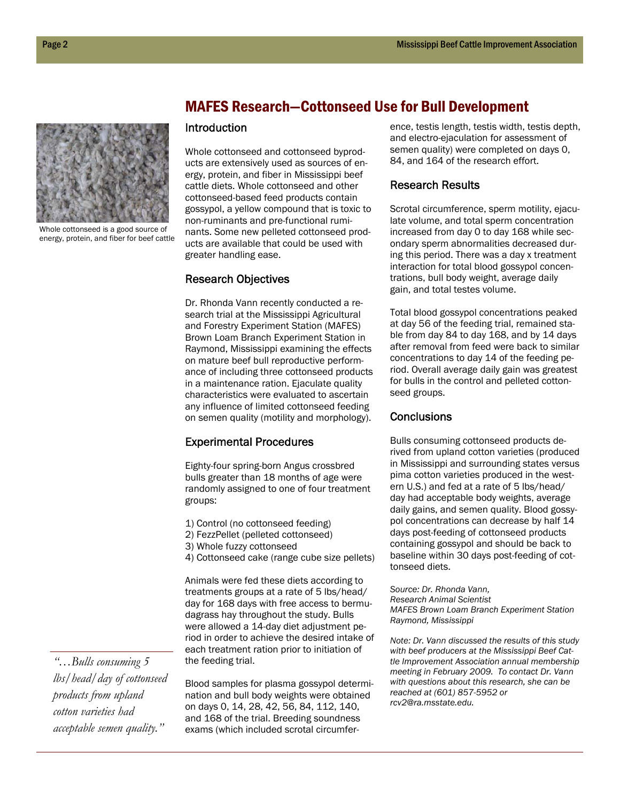

Whole cottonseed is a good source of energy, protein, and fiber for beef cattle

## MAFES Research—Cottonseed Use for Bull Development

#### Introduction

Whole cottonseed and cottonseed byproducts are extensively used as sources of energy, protein, and fiber in Mississippi beef cattle diets. Whole cottonseed and other cottonseed-based feed products contain gossypol, a yellow compound that is toxic to non-ruminants and pre-functional ruminants. Some new pelleted cottonseed products are available that could be used with greater handling ease.

#### Research Objectives

Dr. Rhonda Vann recently conducted a research trial at the Mississippi Agricultural and Forestry Experiment Station (MAFES) Brown Loam Branch Experiment Station in Raymond, Mississippi examining the effects on mature beef bull reproductive performance of including three cottonseed products in a maintenance ration. Ejaculate quality characteristics were evaluated to ascertain any influence of limited cottonseed feeding on semen quality (motility and morphology).

#### Experimental Procedures

Eighty-four spring-born Angus crossbred bulls greater than 18 months of age were randomly assigned to one of four treatment groups:

- 1) Control (no cottonseed feeding)
- 2) FezzPellet (pelleted cottonseed)
- 3) Whole fuzzy cottonseed
- 4) Cottonseed cake (range cube size pellets)

Animals were fed these diets according to treatments groups at a rate of 5 lbs/head/ day for 168 days with free access to bermudagrass hay throughout the study. Bulls were allowed a 14-day diet adjustment period in order to achieve the desired intake of each treatment ration prior to initiation of the feeding trial.

Blood samples for plasma gossypol determination and bull body weights were obtained on days 0, 14, 28, 42, 56, 84, 112, 140, and 168 of the trial. Breeding soundness exams (which included scrotal circumference, testis length, testis width, testis depth, and electro-ejaculation for assessment of semen quality) were completed on days 0, 84, and 164 of the research effort.

#### Research Results

Scrotal circumference, sperm motility, ejaculate volume, and total sperm concentration increased from day 0 to day 168 while secondary sperm abnormalities decreased during this period. There was a day x treatment interaction for total blood gossypol concentrations, bull body weight, average daily gain, and total testes volume.

Total blood gossypol concentrations peaked at day 56 of the feeding trial, remained stable from day 84 to day 168, and by 14 days after removal from feed were back to similar concentrations to day 14 of the feeding period. Overall average daily gain was greatest for bulls in the control and pelleted cottonseed groups.

#### **Conclusions**

Bulls consuming cottonseed products derived from upland cotton varieties (produced in Mississippi and surrounding states versus pima cotton varieties produced in the western U.S.) and fed at a rate of 5 lbs/head/ day had acceptable body weights, average daily gains, and semen quality. Blood gossypol concentrations can decrease by half 14 days post-feeding of cottonseed products containing gossypol and should be back to baseline within 30 days post-feeding of cottonseed diets.

*Source: Dr. Rhonda Vann, Research Animal Scientist MAFES Brown Loam Branch Experiment Station Raymond, Mississippi* 

*Note: Dr. Vann discussed the results of this study with beef producers at the Mississippi Beef Cattle Improvement Association annual membership meeting in February 2009. To contact Dr. Vann with questions about this research, she can be reached at (601) 857-5952 or rcv2@ra.msstate.edu.* 

*"…Bulls consuming 5 lbs/head/day of cottonseed products from upland cotton varieties had acceptable semen quality."*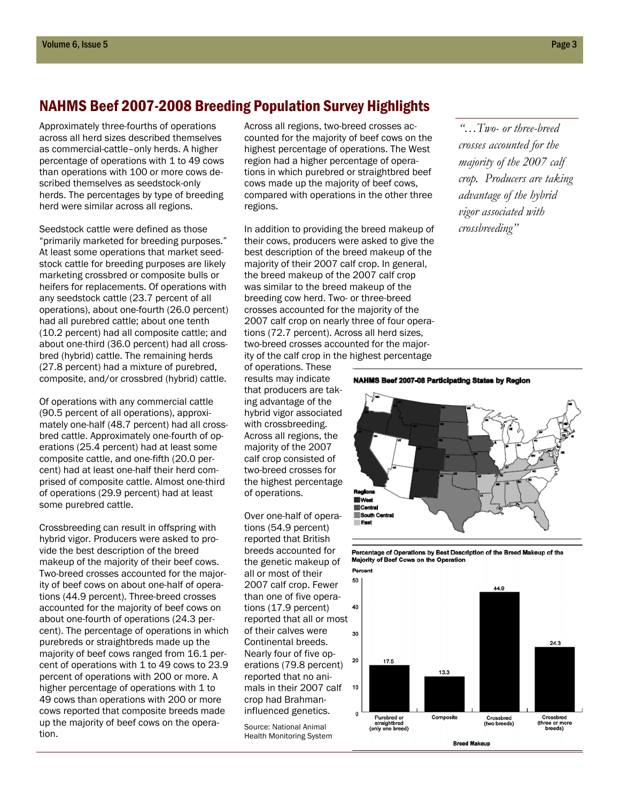## NAHMS Beef 2007-2008 Breeding Population Survey Highlights

Approximately three-fourths of operations across all herd sizes described themselves as commercial-cattle–only herds. A higher percentage of operations with 1 to 49 cows than operations with 100 or more cows described themselves as seedstock-only herds. The percentages by type of breeding herd were similar across all regions.

Seedstock cattle were defined as those "primarily marketed for breeding purposes." At least some operations that market seedstock cattle for breeding purposes are likely marketing crossbred or composite bulls or heifers for replacements. Of operations with any seedstock cattle (23.7 percent of all operations), about one-fourth (26.0 percent) had all purebred cattle; about one tenth (10.2 percent) had all composite cattle; and about one-third (36.0 percent) had all crossbred (hybrid) cattle. The remaining herds (27.8 percent) had a mixture of purebred, composite, and/or crossbred (hybrid) cattle.

Of operations with any commercial cattle (90.5 percent of all operations), approximately one-half (48.7 percent) had all crossbred cattle. Approximately one-fourth of operations (25.4 percent) had at least some composite cattle, and one-fifth (20.0 percent) had at least one-half their herd comprised of composite cattle. Almost one-third of operations (29.9 percent) had at least some purebred cattle.

Crossbreeding can result in offspring with hybrid vigor. Producers were asked to provide the best description of the breed makeup of the majority of their beef cows. Two-breed crosses accounted for the majority of beef cows on about one-half of operations (44.9 percent). Three-breed crosses accounted for the majority of beef cows on about one-fourth of operations (24.3 percent). The percentage of operations in which purebreds or straightbreds made up the majority of beef cows ranged from 16.1 percent of operations with 1 to 49 cows to 23.9 percent of operations with 200 or more. A higher percentage of operations with 1 to 49 cows than operations with 200 or more cows reported that composite breeds made up the majority of beef cows on the operation.

Across all regions, two-breed crosses accounted for the majority of beef cows on the highest percentage of operations. The West region had a higher percentage of operations in which purebred or straightbred beef cows made up the majority of beef cows, compared with operations in the other three regions.

In addition to providing the breed makeup of their cows, producers were asked to give the best description of the breed makeup of the majority of their 2007 calf crop. In general, the breed makeup of the 2007 calf crop was similar to the breed makeup of the breeding cow herd. Two- or three-breed crosses accounted for the majority of the 2007 calf crop on nearly three of four operations (72.7 percent). Across all herd sizes, two-breed crosses accounted for the majority of the calf crop in the highest percentage

of operations. These results may indicate that producers are taking advantage of the hybrid vigor associated with crossbreeding. Across all regions, the majority of the 2007 calf crop consisted of two-breed crosses for the highest percentage of operations.

Over one-half of operations (54.9 percent) reported that British breeds accounted for the genetic makeup of all or most of their 2007 calf crop. Fewer than one of five operations (17.9 percent) reported that all or most of their calves were Continental breeds. Nearly four of five operations (79.8 percent) reported that no animals in their 2007 calf crop had Brahmaninfluenced genetics.

Source: National Animal Health Monitoring System

*"…Two- or three-breed crosses accounted for the majority of the 2007 calf crop. Producers are taking advantage of the hybrid vigor associated with crossbreeding"* 



Percentage of Operations by Best Description of the Breed Makeup of the Majority of Beef Cows on the Operation



NAHMS Beef 2007-08 Participating States by Region